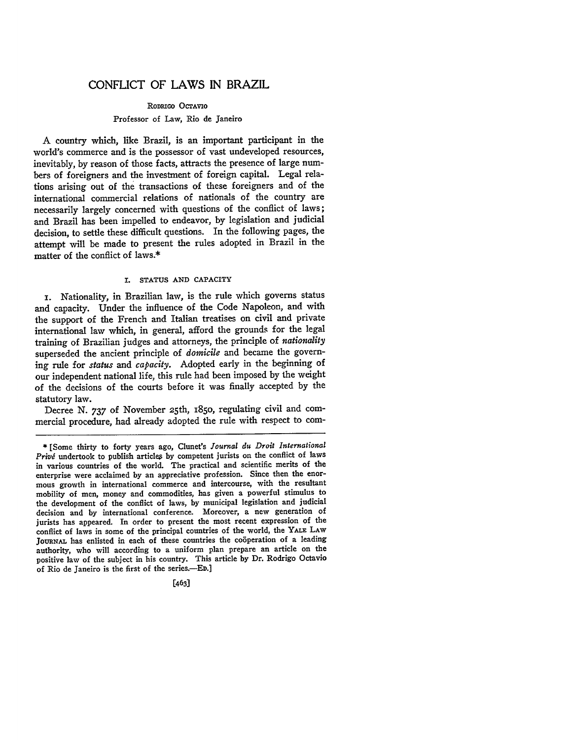# **CONFLICT** OF LAWS **IN** BRAZIL

## **RODRIGO** OCTAVIO Professor of Law, Rio de Janeiro

A country which, like Brazil, is an important participant in the world's commerce and is the possessor of vast undeveloped resources, inevitably, by reason of those facts, attracts the presence of large numbers of foreigners and the investment of foreign capital. Legal relations arising out of the transactions of these foreigners and of the international commercial relations of nationals of the country are necessarily largely concerned with questions of the conflict of laws; and Brazil has been impelled to endeavor, by legislation and judicial decision, to settle these difficult questions. In the following pages, the attempt will be made to present the rules adopted in Brazil in the matter of the conflict of laws.\*

### **I. STATUS AND CAPACITY**

**I.** Nationality, in Brazilian law, is the rule which governs status and capacity. Under the influence of the Code Napoleon, and with the support of the French and Italian treatises on civil and private international law which, in general, afford the grounds for the legal training of Brazilian judges and attorneys, the principle of *nationality* superseded the ancient principle of *domicile* and became the governing rule for *status and capacity.* Adopted early in the beginning of our independent national life, this rule had been imposed by the weight of the decisions of the courts before it was finally accepted by the statutory law.

Decree N. 737 of November 25th, 1850, regulating civil and commercial procedure, had already adopted the rule with respect to com-

[463)

**<sup>\*</sup>** [Some thirty to forty years ago, Clunet's *Journal du Droit International* Privé undertook to publish articles by competent jurists on the conflict of laws in various countries of the world. The practical and scientific merits of the enterprise were acclaimed by an appreciative profession. Since then the enormous growth in international commerce and intercourse, with the resultant mobility of men, money and commodities, has given a powerful stimulus to the development of the conflict of laws, **by** municipal legislation and judicial decision and by international conference. Moreover, a new generation of jurists has appeared. In order to present the most recent expression of the conflict of laws in some of the principal countries of the world, the **YALE LAW** JOURNAL has enlisted in each of these countries the coöperation of a leading authority, who will according to a uniform plan prepare an article on the positive law of the subject in his country. This article **by** Dr. Rodrigo Octavio of Rio de Janeiro is the first of the series.--ED.]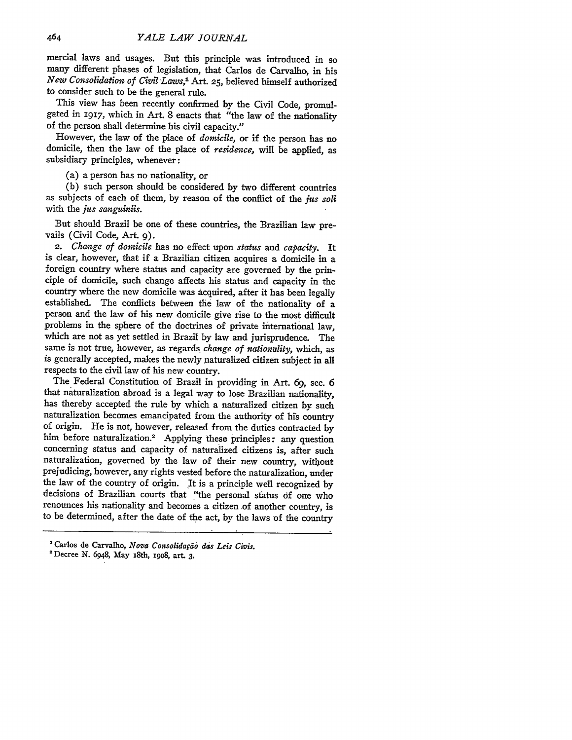mercial laws and usages. But this principle was introduced in so many different phases of legislation, that Carlos de Carvalho, in his *New Consolidation of Civil Laws,'* Art. **25,** believed himself authorized to consider such to be the general rule.

This view has been recently confirmed by the Civil Code, promulgated in 1917, which in Art. 8 enacts that "the law of the nationality of the person shall determine his civil capacity."

However, the law of the place of *domicile,* or if the person has no domicile, then the law of the place of *residence,* will be applied, as subsidiary principles, whenever:

(a) a person has no nationality, or

(b) such person should be considered by two different countries as subjects of each of them, by reason of the conflict of the *Jus soli* with the *jus sanguiniis.*

But should Brazil be one of these countries, the Brazilian law prevails (Civil Code, Art. **9).**

**2.** *Change of domicile* has no effect upon *status and capacity.* It is dear, however, that if a Brazilian citizen acquires a domicile in a foreign country where status and capacity are governed by the principle of domicile, such change affects his status and capacity in the country where the new domicile was acquired, after it has been legally established. The conflicts between the law of the nationality of a person and the law of his new domicile give rise to the most difficult problems in the sphere of the doctrines of private international law, which are not as yet settled in Brazil by law and jurisprudence. The same is not true, however, as regards *change of nationality,* which, as is generally accepted, makes the newly naturalized citizen subject in all respects to the civil law of his new country.

The Federal Constitution of Brazil in providing in Art. 69, sec. 6 that naturalization abroad is a legal way to lose Brazilian nationality, has thereby accepted the rule by which a naturalized citizen by such naturalization becomes emancipated from the authority of his country of origin. He is not, however, released from the duties contracted by him before naturalization.<sup>2</sup> Applying these principles: any question concerning status and capacity of naturalized citizens is, after such naturalization, governed by the law of their new country, without prejudicing, however, any rights vested before the naturalization, under the law of the country of origin. **.It** is a principle well recognized by decisions of Brazilian courts that "the personal status **of** one who renounces his nationality and becomes a citizen of another country, is to be determined, after the date of the act, by the laws of the country

<sup>&#</sup>x27;Carlos de Carvalho, *Nova Consolidavab* das *Leis Civis.*

<sup>&#</sup>x27;Decree **N.** 6948, May i8th, i9o8, art. **3.**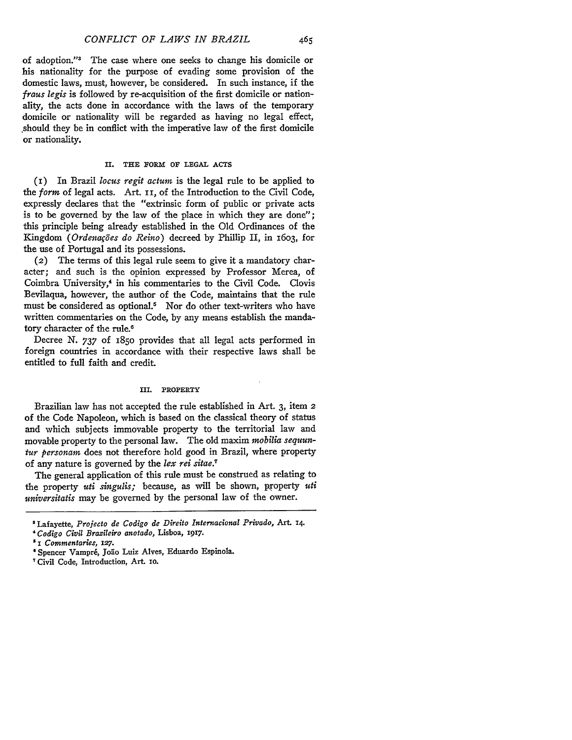of adoption."3 The case where one seeks to change his domicile or his nationality for the purpose of evading some provision of the domestic laws, must, however, be considered. In such instance, if the *fraus legis* is followed by re-acquisition of the first domicile or nationality, the acts done in accordance with the laws of the temporary domicile or nationality will be regarded as having no legal effect, .should they be in conflict with the imperative law of the first domicile or nationality.

#### **II. THE FORM** OF **LEGAL ACTS**

(I) In Brazil *locus regit actum* is the legal rule to be applied to the *form* of legal acts. Art. ii, of the Introduction to the Civil Code, expressly declares that the "extrinsic form of public or private acts is to be governed by the law of the place in which they are done"; this principle being already established in the Old Ordinances of the Kingdom *(Ordenafes do Reino)* decreed by Phillip II, in 1603, for the use of Portugal and its possessions.

**(2)** The terms of this legal rule seem to give it a mandatory character; and such is the opinion expressed by Professor Merea, of Coimbra University,<sup>4</sup> in his commentaries to the Civil Code. Clovis Bevilaqua, however, the author of the Code, maintains that the rule must be considered as optional.<sup>5</sup> Nor do other text-writers who have written commentaries on the Code, by any means establish the mandatory character of the rule.<sup>6</sup>

Decree N. 737 of 1850 provides that all legal acts performed in foreign countries in accordance with their respective laws shall be entitled to full faith and credit.

#### III. PROPERTY

Brazilian law has not accepted the rule established in Art. 3, item **<sup>2</sup>** of the Code Napoleon, which is based on the classical theory of status and which subjects immovable property to the territorial law and movable property to the personal law. The old maxim *mobilia sequunfur personam* does not therefore hold good in Brazil, where property of any nature is governed by the *lex rei sitae.7*

The general application of this rule must be construed as relating to the property *uti singulis;* because, as will be shown, property *uti universitatis* may be governed by the personal law of the owner.

**<sup>&#</sup>x27;** Lafayette, *Projecto de Codigo de Direito Internacional Privado,* Art. **14.**

*<sup>&</sup>quot; Codigo Civil Brazileiro anotado,* Lisboa, **1917.**

**<sup>5</sup>** *1 Commentaries, 127.*

<sup>&</sup>lt;sup>6</sup> Spencer Vampré, João Luiz Alves, Eduardo Espinola.

**<sup>&#</sup>x27;** Civil Code, Introduction, Art. io.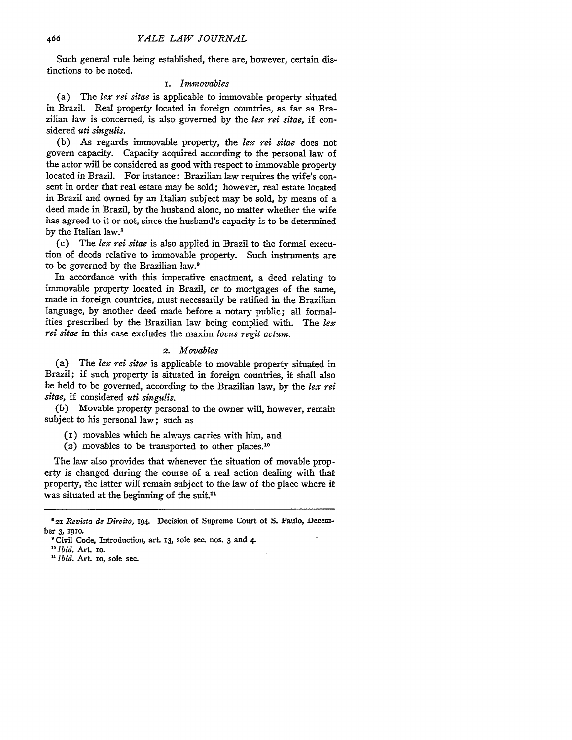Such general rule being established, there are, however, certain distinctions to be noted.

#### *i. Immovables*

(a) The *lex rei sitae* is applicable to immovable property situated in Brazil. Real property located in foreign countries, as far as Brazilian law is concerned, is also governed by the *lex rei sitae,* if considered *uti singulis.*

(b) As regards immovable property, the *lex rei sitae* does not govern capacity. Capacity acquired according to the personal law of the actor will be considered as good with respect to immovable property located in Brazil. For instance: Brazilian law requires the wife's consent in order that real estate may be sold; however, real estate located in Brazil and owned by an Italian subject may be sold, by means of a deed made in Brazil, by the husband alone, no matter whether the wife has agreed to it or not, since the husband's capacity is to be determined by the Italian law.8

(c) The *lex rei sitae* is also applied in Brazil to the formal execution of deeds relative to immovable property. Such instruments are to be governed by the Brazilian law.9

In accordance with this imperative enactment, a deed relating to immovable property located in Brazil, or to mortgages of the same, made in foreign countries, must necessarily be ratified in the Brazilian language, by another deed made before a notary public; all formalities prescribed by the Brazilian law being complied with. The *lex rei sitae* in this case excludes the maxim *locus regit actum.*

### 2. *Movables*

(a) The *lex rei sitae* is applicable to movable property situated in Brazil; if such property is situated in foreign countries, it shall also be held to be governed, according to the Brazilian law, by the *lex rei sitae,* if considered *uti singulis.*

(b) Movable property personal to the owner will, however, remain subject to his personal law; such as

(i) movables which he always carries with him, and

(2) movables to be transported to other places.10

The law also provides that whenever the situation of movable property is changed during the course of a real action dealing with that property, the latter will remain subject to the law of the place where it was situated at the beginning of the suit.<sup>11</sup>

**<sup>821</sup>** *Revista de Direito,* **194.** Decision of Supreme Court of **S.** Paulo, December **3, 1910. Civil** Code, Introduction, art. **13,** sole sec. nos. **3** and 4.

*<sup>&</sup>quot;Ibid.* Art. *io.*

<sup>&</sup>lt;sup>11</sup> *Ibid.* Art. 10, sole sec.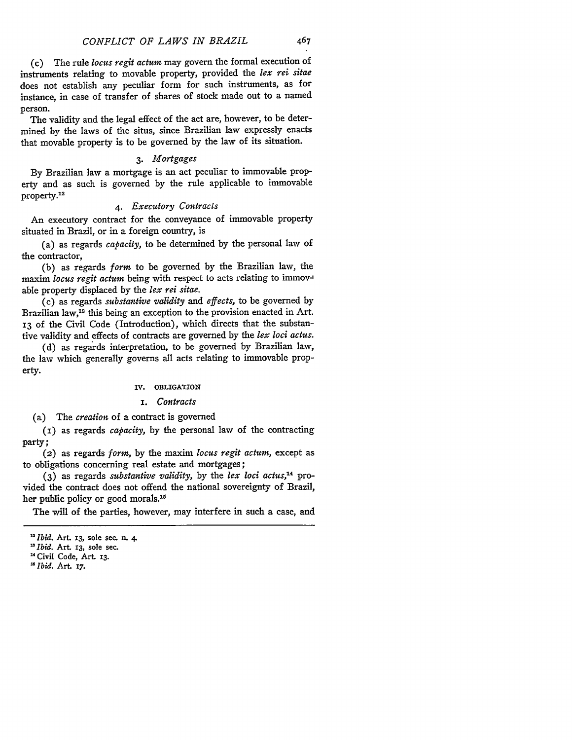467

(c) The rule *locus regit actum* may govern the formal execution of instruments relating to movable property, provided the *lex rei sitae* does not establish any peculiar form for such instruments, as for instance, in case of transfer of shares of stock made out to a named person.

The validity and the legal effect of the act are, however, to be determined by the laws of the situs, since Brazilian law expressly enacts that movable property is to be governed by the law of its situation.

### *3. Mortgages*

By Brazilian law a mortgage is an act peculiar to immovable property and as such is governed by the rule applicable to immovable property.12

### *4. Executory Contracts*

An executory contract for the conveyance of immovable property situated in Brazil, or in a foreign country, is

(a) as regards *capacity,* to be determined by the personal law of the contractor,

(b) as regards *form* to be governed by the Brazilian law, the maxim *locus regit actum* being with respect to acts relating to immovable property displaced by the *lex rei sitae.*

(c) as regards *substantive validity and effects,* to be governed by Brazilian law,<sup>13</sup> this being an exception to the provision enacted in Art. **13** of the Civil Code (Introduction), which directs that the substantive validity and effects of contracts are governed by the *lex loci actus.*

(d) as regards interpretation, to be governed by Brazilian law, the law which generally governs all acts relating to immovable property.

### IV. OBLIGATION

### *I. Contracts*

(a) The *creation* of a contract is governed

(I) as regards *capacity,* by the personal law of the contracting party;

(2) as regards *form,* by the maxim *locus regit actum,* except as to obligations concerning real estate and mortgages;

**(3)** as regards *substantive validity,* by the *lex loci actus,14* provided the contract does not offend the national sovereignty of Brazil, her public policy or good morals.15

The will of the parties, however, may interfere in such a case, and

*'Ibid.* Art. **17.**

*<sup>&</sup>quot;Ibid.* Art. **13,** sole sec. n. 4. *' Ibid.* Art. **13,** sole sec.

**<sup>&</sup>quot;** Civil Code, Art. **13.**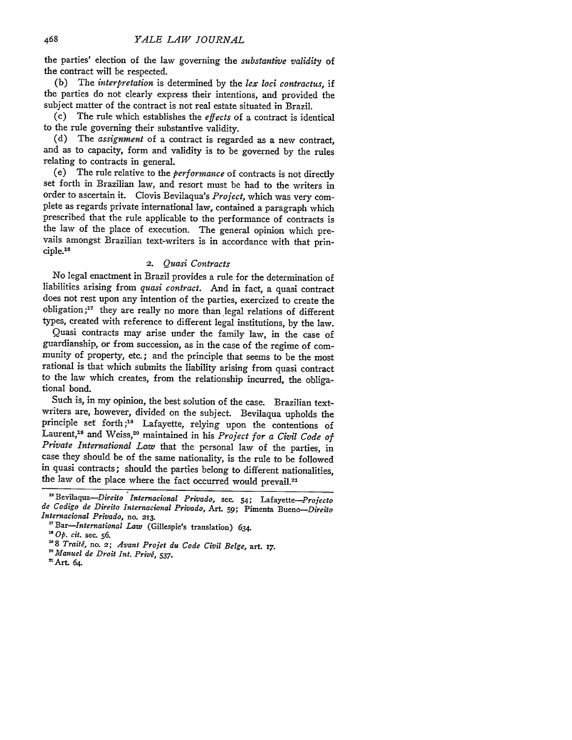the parties' election of the law governing the *substantive validity* of the contract will be respected.<br>(b) The *interpretation* is determined by the *lex loci contractus*, if

the parties do not clearly express their intentions, and provided the subject matter of the contract is not real estate situated in Brazil.

(c) The rule which establishes the *effects* of a contract is identical to the rule governing their substantive validity.

(d) The *assignment* of a contract is regarded as a new contract, and as to capacity, form and validity is to be governed by the rules relating to contracts in general.

(e) The rule relative to the *performance* of contracts is not directly set forth in Brazilian law, and resort must be had to the writers in order to ascertain it. Clovis Bevilaqua's *Project,* which was very complete as regards private international law, contained a paragraph which prescribed that the rule applicable to the performance of contracts is vails amongst Brazilian text-writers is in accordance with that principle.<sup>16</sup>

# 2. *Quasi Contracts*

No legal enactment in Brazil provides a rule for the determination of liabilities arising from *quasi contract.* And in fact, a quasi contract does not rest upon any intention of the parties, exercized to create the obligation;17 they are really no more than legal relations of different types, created with reference to different legal institutions, by the law.

Quasi contracts may arise under the family law, in the case of guardianship, or from succession, as in the case of the regime of community of property, etc.; and the principle that seems to be the most rational is that which submits the liability arising from quasi contract to the law which creates, from the relationship incurred, the obligational bond.

Such is, in my opinion, the best solution of the case. Brazilian textwriters are, however, divided on the subject. Bevilaqua upholds the principle set forth;18 Lafayette, relying upon the contentions of Laurent,<sup>19</sup> and Weiss,<sup>20</sup> maintained in his *Project for a Civil Code of Private International Law* that the personal law of the parties, in case they should be of the same nationality, is the rule to be followed in quasi contracts; should the parties belong to different nationalities, the law of the place where the fact occurred would prevail.<sup>21</sup>

- *''Manuel de Droit Int. Privi, 537.*
- <sup>21</sup> Art. 64.

*<sup>1</sup> Bevilaqua-Direito Internacional Privado,* sec. 54; *Lafayette-Projecto de Codigo de Direito Internacional Privado, Art* **59;** Pimenta Bueno-Direito *Internacional Privado,* no. **213.**

*<sup>&#</sup>x27;Bar-International Law* (Gillespie's translation) 634.

**<sup>16</sup>***Op. cit.* sec. **56.**

<sup>&</sup>lt;sup>19</sup> 8 Traité, no. 2; Avant Projet du Code Civil Belge, art. 17.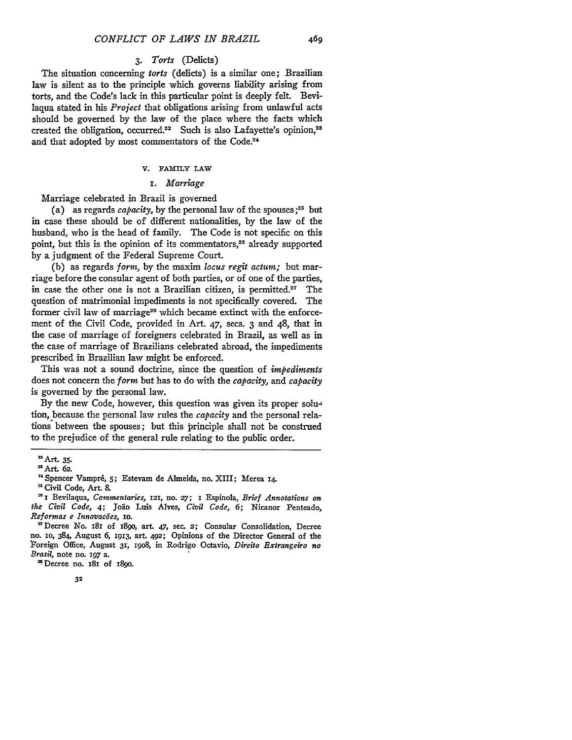## *3. Torts* (Delicts)

The situation concerning torts (delicts) is a similar one; Brazilian law is silent as to the principle which governs liability arising from torts, and the Code's lack in this particular point is deeply felt. Bevilaqua stated in his *Project* that obligations arising from unlawful acts should be governed **by** the law of the place where the facts which created the obligation, occurred.<sup>22</sup> Such is also Lafayette's opinion,<sup>23</sup> and that adopted by most commentators of the Code.<sup>24</sup>

#### V. FAMILY LAW

### *I. Marriage*

Marriage celebrated in Brazil is governed

(a) as regards *capacity,* **by** the personal law of the spouses **;25** but in case these should be of different nationalities, **by** the law of the husband, who is the head of family. The Code is not specific on this point, but this is the opinion of its commentators,<sup>26</sup> already supported **by** a judgment of the Federal Supreme Court.

(b) as regards *form,* **by** the maxim *locus regit actum;* but marriage before the consular agent of both parties, or of one of the parties, in case the other one is not a Brazilian citizen, is permitted.<sup>27</sup> The question of matrimonial impediments is not specifically covered. The former civil law of marriage<sup>28</sup> which became extinct with the enforcement of the Civil Code, provided in Art. 47, sees. **3** and 48, that in the case of marriage of foreigners celebrated in Brazil, as well as in the case of marriage of Brazilians celebrated abroad, the impediments prescribed in Brazilian law might be enforced.

This was not a sound doctrine, since the question of *impediments* does not concern the *form* but has to do with the *capacity, and capacity* is governed **by** the personal law.

**By** the new Code, however, this question was given its proper solu4 tion, because the personal law rules the *capacity* and the personal relations between the spouses; but this principle shall not be construed to the prejudice of the general rule relating to the public order.

Decree no. **I8I** of igo.

<sup>&</sup>quot;Art. **35.**

<sup>&</sup>quot;Art **62.**

<sup>&</sup>lt;sup>24</sup> Spencer Vampré, 5; Estevam de Almeida, no. XIII; Merea 14.

Civil Code, Art. **8.**

**<sup>2</sup>i** Bevilaqua, *Commentaries,* **121,** no. **27; i** Espinola, *Brief Annotations on the Civil Code,* 4; Joio Luis Alves, *Civil Code,* **6;** Nicanor Penteado, *Refornas e Innovacies, io.*

<sup>&</sup>quot;Decree No. I8i of i8go, art. 47, sec. **2;** Consular Consolidation, Decree no. **1o,** 384, August **6, 1913,** art. 492; Opinions of the Director General of the )Foreign Office, August 31, 19o8, in Rodrigo Octavio, *Direito Extrangeiro no Brasil,* note no. *i97* a.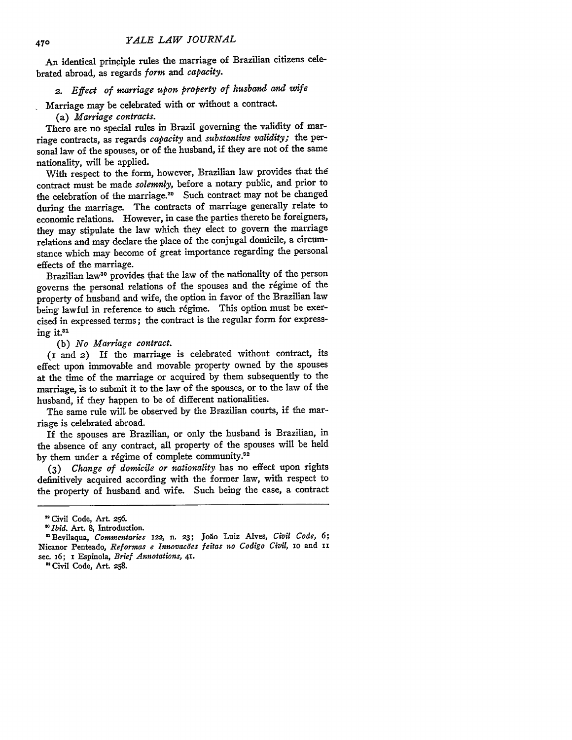An identical principle rules the marriage of Brazilian citizens celebrated abroad, as regards *form and capacity.*

2. Effect of marriage upon property of husband and wife

Marriage may be celebrated with or without a contract.

(a) *Marriage contracts.*

There are no special rules in Brazil governing the validity of marriage contracts, as regards *capacity and substantive validity;* the personal law of the spouses, or of the husband, if they are not of the same nationality, will be applied.

With respect to the form, however, Brazilian law provides that the contract must be made *solemnly,* before a notary public, and prior to the celebration of the marriage.29 Such contract may not be changed during the marriage. The contracts of marriage generally relate to economic relations. However, in case the parties thereto be foreigners, they may stipulate the law which they elect to govern the marriage relations and may declare the place of the conjugal domicile, a circumstance which may become of great importance regarding the personal effects of the marriage.

Brazilian law<sup>30</sup> provides that the law of the nationality of the person governs the personal relations of the spouses and the régime of the property of husband and wife, the option in favor of the Brazilian law being lawful in reference to such régime. This option must be exercised in expressed terms; the contract is the regular form for expressing it.31

(b) *No Marriage contract.*

(i and 2) If the marriage is celebrated without contract, its effect upon immovable and movable property owned by the spouses at the time of the marriage or acquired by them subsequently to the marriage, is to submit it to the law of the spouses, or to the law of the husband, if they happen to be of different nationalities.

The same rule will, be observed by the Brazilian courts, if the marriage is celebrated abroad.

If the spouses are Brazilian, or only the husband is Brazilian, in the absence of any contract, all property of the spouses will be held by them under a régime of complete community.<sup>32</sup>

(3) *Change of domicile or nationality* has no effect upon rights definitively acquired according with the former law, with respect to the property of husband and wife. Such being the case, a contract

<sup>&#</sup>x27;Civil Code, Art. 256.

*<sup>&#</sup>x27;Ibid.* Art. 8, Introduction.

**<sup>&#</sup>x27;** Bevilaqua, *Commentaries* **122,** n. **23;** Joio Luiz Alves, *Civil Code, 6;* Nicanor Penteado, *Reformas e Innovacies feitas no Codigo Civil,* io and **Ii** sec. 16; 1 Espinola, *Brief Annotations, 41.*

<sup>&#</sup>x27;Civil Code, Art. **258.**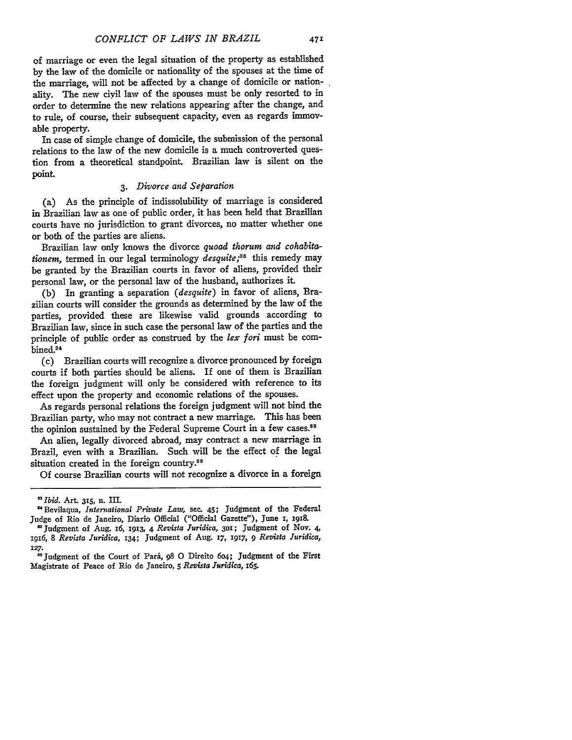of marriage or even the legal situation of the property as established by the law of the domicile or nationality of the spouses at the time of the marriage, will not be affected by a change of domicile or nationality. The new civil law of the spouses must be only resorted to in order to determine the new relations appearing after the change, and to rule, of course, their subsequent capacity, even as regards immovable property.

In case of simple change of domicile, the submission of the personal relations to the law of the new domicile is a much controverted question from a theoretical standpoint. Brazilian law is silent on the point.

# *3. Divorce and Separation*

(a) As the principle of indissolubility of marriage is considered in Brazilian law as one of public order, it has been held that Brazilian courts have no jurisdiction to grant divorces, no matter whether one or both of the parties are aliens.

Brazilian law only knows the divorce *quoad thorum and cohabitationem,* termed in our legal terminology *desquite; <sup>8</sup>*this remedy may be granted by the Brazilian courts in favor of aliens, provided their personal law, or the personal law of the husband, authorizes it.

(b) In granting a separation *(desquite)* in favor of aliens, Brazilian courts will consider the grounds as determined **by** the law of the parties, provided these are likewise valid grounds according to Brazilian law, since in such case the personal law of the parties and the principle of public order as construed by the lex *fori* must be combined.<sup>34</sup>

(c) Brazilian courts will recognize a divorce pronounced by foreign courts if both parties should be aliens. If one of them is Brazilian the foreign judgment will only be considered with reference to its effect upon the property and economic relations of the spouses.

As regards personal relations the foreign judgment will not bind the Brazilian party, who may not contract a new marriage. This has been the opinion sustained by the Federal Supreme Court in a few cases.<sup>85</sup>

An alien, legally divorced abroad, may contract a new marriage in Brazil, even with a Brazilian. Such will be the effect of the legal situation created in the foreign country.<sup>36</sup>

Of course Brazilian courts will not recognize a divorce in a foreign

*Ibid.* Art. **315,** n. IL

Bevilaqua, *International Private Law,* sec. 45; Judgment of the Federal Judge of Rio de Janeiro, Diario Official ("Official Gazette"), June **x,** i918.

<sup>&#</sup>x27;Judgment of Aug. 16, **1913,** 4 *Revista Turidica,* **301;** Judgment of Nov. 4, *i916,* **8** *Revista Juridica,* 134; Judgment of Aug. i7, **1917, 9** *Revista uridica,* **127.**

<sup>&</sup>quot;Judgment of the Court of Pari, **98 0** Direito 604; Judgment of the First Magistrate of Peace of Rio de Janeiro, 5 *Revista Juridica*, 165.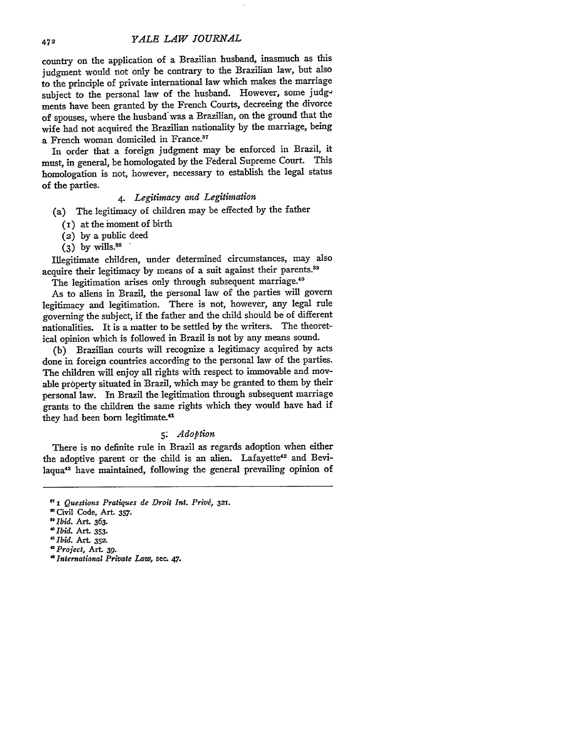country on the application of a Brazilian husband, inasmuch as this judgment would not only be contrary to the Brazilian law, but also to the principle of private international law which makes the marriage subject to the personal law of the husband. However, some judgments have been granted by the French Courts, decreeing the divorce of spouses, where the husband was a Brazilian, on the ground that the wife had not acquired the Brazilian nationality by the marriage, being a French woman domiciled in France.<sup>37</sup>

In order that a foreign judgment may be enforced in Brazil, it must, in general, be homologated by the Federal Supreme Court. This homologation is not, however, necessary to establish the legal status of the parties.

# *4. Legitimacy and Legitimation*

- (a) The legitimacy of children may be effected by the father
	- (i) at the 'moment of birth
	- (2) **by** a public deed
	- $(3)$  by wills.<sup>88</sup>

Illegitimate children, under determined circumstances, may also acquire their legitimacy by means of a suit against their parents.<sup>39</sup>

The legitimation arises only through subsequent marriage.<sup>40</sup>

As to aliens in Brazil, the personal law of the parties will govern legitimacy and legitimation. There is not, however, any legal rule governing the subject, if the father and the child should be of different nationalities. It is a matter to be settled by the writers. The theoretical opinion which is followed in Brazil is not by any means sound.

(b) Brazilian courts will recognize a legitimacy acquired by acts done in foreign countries according to the personal law of the parties. The children will enjoy all rights with respect to immovable and movable property situated in Brazil, which may be granted to them by their personal law. In Brazil the legitimation through subsequent marriage grants to the children the same rights which they would have had if they had been born legitimate.<sup>41</sup>

# *5: Adoption*

There is no definite rule in Brazil as regards adoption when either the adoptive parent or the child is an alien. Lafayette<sup>42</sup> and Bevilaqua<sup>43</sup> have maintained, following the general prevailing opinion of

*'International Private Law,* see. *47.*

*Si Questions Pratiques de Droit Int. Privi,* **321.**

<sup>&#</sup>x27;Civil Code, Art. **357.**

**so** *Ibid.* Art. **363.**

*Ibid.* Art. **353.**

*<sup>&#</sup>x27; 1Ibid. Art.* **352.**

*Project,* Art. **39.**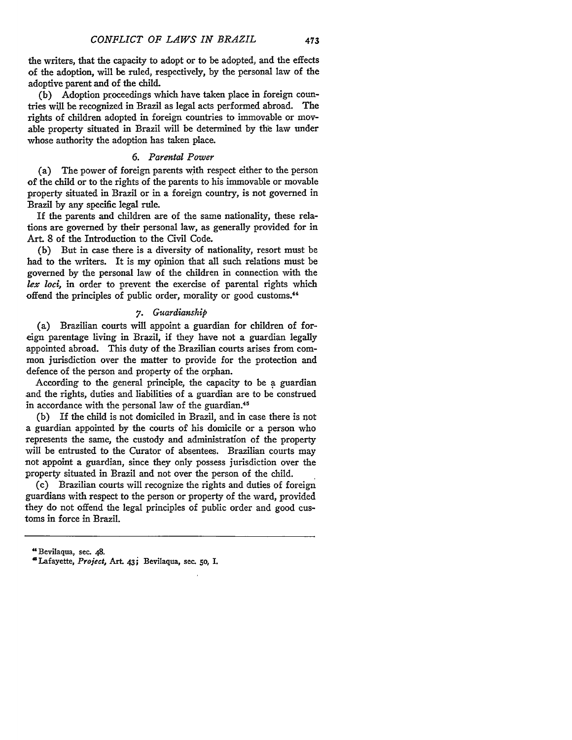473

the writers, that the capacity to adopt or to be adopted, and the effects of the adoption, will be ruled, respectively, by the personal law of the adoptive parent and of the child.

(b) Adoption proceedings which have taken place in foreign countries wiJll be recognized in Brazil as legal acts performed abroad. The rights of children adopted in foreign countries to immovable or movable property situated in Brazil will be determined by the law under whose authority the adoption has taken place.

#### *6. Parental Power*

(a) The power of foreign parents with respect either to the person of the child or to the rights of the parents to his immovable or movable property situated in Brazil or in a foreign country, is not governed in Brazil by any specific legal rule.

If the parents and children are of the same nationality, these relations are governed by their personal law, as generally provided for in Art. 8 of the Introduction to the Civil Code.

(b) But in case there is a diversity of nationality, resort must be had to the writers. It is my opinion that all such relations must be governed by the personal law of the children in connection with the *lex loci,* in order to prevent the exercise of parental rights which offend the principles of public order, morality or good customs.<sup>44</sup>

### *7. Guardianship*

(a) Brazilian courts will appoint a guardian for children of foreign parentage living in Brazil, if they have not a guardian legally appointed abroad. This duty of the Brazilian courts arises from common jurisdiction over the matter to provide for the protection and defence of the person and property of the orphan.

According to the general principle, the capacity to be a guardian and the rights, duties and liabilities of a guardian are to be construed in accordance with the personal law of the guardian.<sup>45</sup>

(b) If the child is not domiciled in Brazil, and in case there is not a guardian appointed by the courts of his domicile or a person who represents the same, the custody and administration of the property will be entrusted to the Curator of absentees. Brazilian courts may not appoint a guardian, since they only possess jurisdiction over the property situated in Brazil and not over the person of the child.

(c) Brazilian courts will recognize the rights and duties of foreign guardians with respect to the person or property of the ward, provided they do not offend the legal principles of public order and good customs in force in Brazil.

<sup>&</sup>quot;Bevilaqua, sec. 48.

<sup>&#</sup>x27;Lafayette, *Project,* Art. 43 **1** Bevilaqua, sec. So, **I.**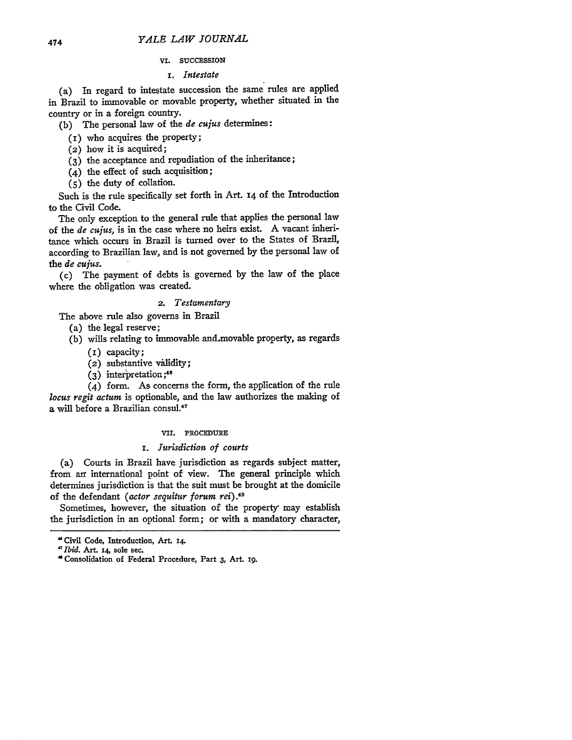#### **VI. SUCCESSION**

*I. Intestate*

(a) In regard to intestate succession the same rules are applied in Brazil to immovable or movable property, whether situated in the country or in a foreign country.

(b) The personal law of the *de cuius* determines:

- **(I)** who acquires the property;
- (2) how it is acquired;
- **(3)** the acceptance and repudiation of the inheritance;
- (4) the effect of such acquisition;
- (5) the duty of collation.

Such is the rule specifically set forth in Art. 14 of the Introduction to the Civil Code.

The only exception to the general rule that applies the personal law of the *de cujus,* is in the case where no heirs exist. A vacant inheritance which occurs in Brazil is turned over to the States of Brazil, according to Brazilian law, and is not governed by the personal law of the *de cujus.*

(c) The payment of debts is governed **by** the law of the place where the obligation was created.

#### **2.** *Testamentary*

The above rule also governs in Brazil

- (a) the legal reserve;
- (b) wills relating to immovable and movable property, as regards
	- **(I)** capacity;
	- (2) substantive validity; **(3)** interpetation ;46
	-

**(4)** form. As concerns the form, the application of the rule *locus regit actum* is optionable, and the law authorizes the making of a will before a Brazilian consul.<sup>47</sup>

#### **VII. PROCEDURE**

### *I. Jurisdiction of courts*

(a) Courts in Brazil have jurisdiction as regards subject matter, from an international point of view. The general principle which determines jurisdiction is that the suit must be brought at the domicile of the defendant *(actor sequitur forum rei)* **.4***<sup>8</sup>*

Sometimes, however, the situation of the property may establish the jurisdiction in an optional form; or with a mandatory character,

<sup>&</sup>quot;Civil Code, Introduction, Art. 14.<br>"Ibid. Art. 14, sole sec.

<sup>&#</sup>x27; *Ibid.* Art. **i4,** sole sec. **4'** Consolidation of Federal Procedure, Part **3,** Art. **I9.**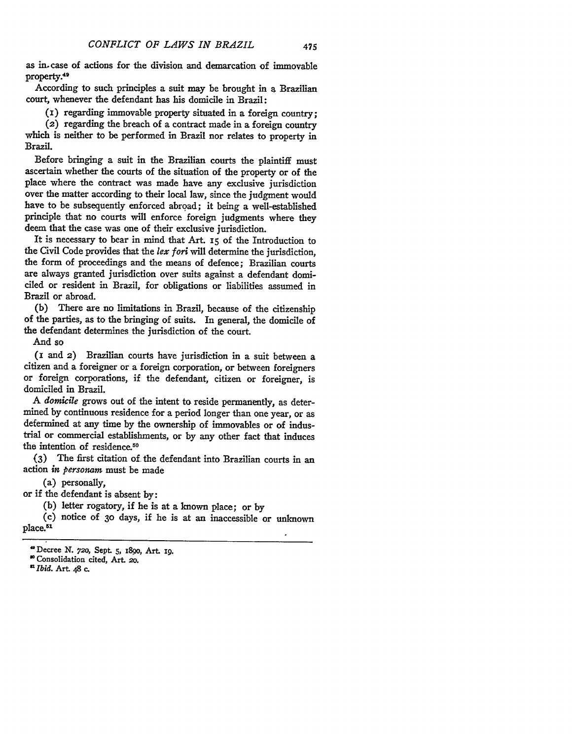as **in.** case of actions for the division and demarcation of immovable property.<sup>49</sup>

According to such principles a suit may be brought in a Brazilian court, whenever the defendant has his domicile in Brazil:

**(i)** regarding immovable property situated in a foreign country;

*(2)* regarding the breach of a contract made in a foreign country which is neither to **be** performed in Brazil nor relates to property in Brazil.

Before bringing a suit in the Brazilian courts the plaintiff must ascertain whether the courts of the situation of the property or of the place where the contract was made have any exclusive jurisdiction over the matter according to their local law, since the judgment would have to be subsequently enforced abroad; it being a well-established principle that no courts will enforce foreign judgments where they deem that the case was one of their exclusive jurisdiction.

It is necessary to bear in mind that Art. **15** of the Introduction to the Civil Code provides that the lex fori will determine the jurisdiction, the form of proceedings and the means of defence; Brazilian courts are always granted jurisdiction over suits against a defendant domiciled or resident in Brazil, for obligations or liabilities assumed in Brazil or abroad.

(b) There are no limitations in Brazil, because of the citizenship of the parties, as to the bringing of suits. In general, the domicile of the defendant determines the jurisdiction of the court.

And so

(i and 2) Brazilian courts have jurisdiction in a suit between a citizen and a foreigner or a foreign corporation, or between foreigners or foreign corporations, if the defendant, citizen or foreigner, is domiciled in Brazil.

*A domicile* grows out of the intent **to** reside permanently, as determined **by** continuous residence for a period longer than one year, or as defermined at any time **by** the ownership of immovables or of industrial or commercial establishments, or by any other fact that induces the intention of residence.<sup>50</sup>

**(3)** The first citation of the defendant into Brazilian courts in an action *in personam* must be made

(a) personally,

or if the defendant is absent **by:**

**(b)** letter rogatory, if he is at a known place; or **by**

(c) notice **of 3o** days, if he is at an inaccessible or unknown place.<sup>51</sup>  $\Delta$ 

Decree **N.** 72o, Sept. **5,** i8go, Art. *ig.*

Consolidation cited, Art. **2o.**

*<sup>&#</sup>x27;Ibid.* Art. 48 c.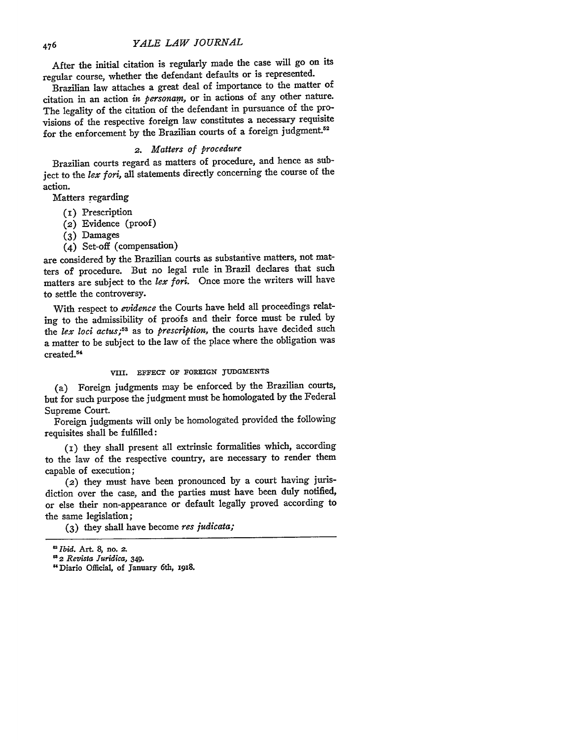*YALE LAW JOURNAL*

After the initial citation is regularly made the case will go on its regular course, whether the defendant defaults or is represented.

Brazilian law attaches a great deal of importance to the matter of citation in an action *in personarn,* or in actions of any other nature. The legality of the citation of the defendant in pursuance of the provisions of the respective foreign law constitutes a necessary requisite for the enforcement by the Brazilian courts of a foreign judgment.<sup>52</sup>

## 2. *Matters of procedure*

Brazilian courts regard as matters of procedure, and hence as subject to the *lex fori,* all statements directly concerning the course of the action.

Matters regarding

**(I)** Prescription

(2) Evidence (proof)

**(3)** Damages

(4) Set-off (compensation)

are considered by the Brazilian courts as substantive matters, not matters of procedure. But no legal rule in Brazil declares that such matters are subject to the *lex fori.* Once more the writers will have to settle the controversy.

With respect to *evidence* the Courts have held all proceedings relating to the admissibility of proofs and their force must be ruled by the *lex loci actus;5 3* as to *prescription,* the courts have decided such a matter to be subject to the law of the place where the obligation was created.54

### VIII. **EFFECT** OF FOREIGN **JUDGMENTS**

(a) Foreign judgments may be enforced **by** the Brazilian courts, but for such purpose the judgment must be homologated by the Federal Supreme Court.

Foreign judgments will only be homologated provided the following requisites shall be fulfilled:

(I) they shall present all extrinsic formalities which, according to the law of the respective country, are necessary to render them capable of execution;

(2) they must have been pronounced by a court having jurisdiction over the case, and the parties must have been duly notified, or else their non-appearance or default legally proved according to the same legislation;

**(3)** they shall have become *res judicata;*

*<sup>&#</sup>x27;Ibid.* Art. 8, no. **2.**

*<sup>&#</sup>x27;2 Revista Juridica, 349.*

<sup>&</sup>quot;Diario Official, of January 6th, 1918.